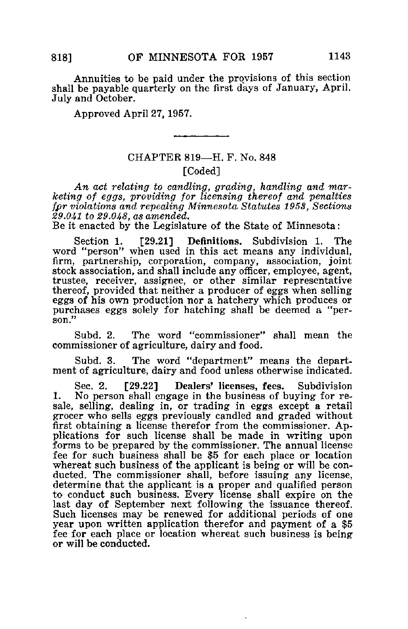Annuities to be paid under the provisions of this section shall be payable quarterly on the first days of January, April. July and October.

Approved April 27, 1957.

## CHAPTER 819—H. F. No. 848 [Coded]

An act relating to candling, grading, handling and marketing of eggs, providing for licensing thereof and penalties fpr violations and repealing Minnesota Statutes 1958, Sections 29.041 to 29.048, as amended.

Be it enacted by the Legislature of the State of Minnesota:

Section 1. [29.21] Definitions. Subdivision 1. The word "person" when used in this act means any individual, firm, partnership, corporation, company, association, joint stock association, and shall include any officer, employee, agent, trustee, receiver, assignee, or other similar representative thereof, provided that neither a producer of eggs when selling eggs of his own production nor a hatchery which produces or purchases eggs solely for hatching shall be deemed a "person."

Subd. 2. The word "commissioner" shall mean the commissioner of agriculture, dairy and food.

Subd. 3. The word "department" means the department of agriculture, dairy and food unless otherwise indicated.

Sec. 2. [29.22] Dealers' licenses, fees. Subdivision 1. No person shall engage in the business of buying for resale, selling, dealing in, or trading in eggs except a retail grocer who sells eggs previously candled and graded without first obtaining a license therefor from the commissioner. Applications for such license shall be made in writing upon forms to be prepared by the commissioner. The annual license fee for such business shall be \$5 for each place or location whereat such business of the applicant is being or will be conducted. The commissioner shall, before issuing any license, determine that the applicant is a proper and qualified person to conduct such business. Every license shall expire on the last day of September next following the issuance thereof. Such licenses may be renewed for additional periods of one year upon written application therefor and payment of a \$5 fee for each place or location whereat such business is being or will be conducted.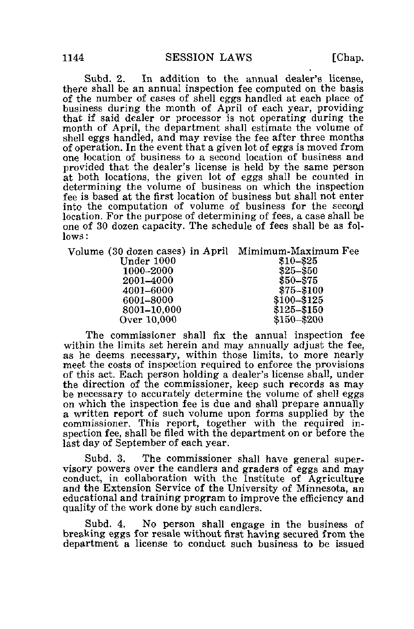Subd. 2. In addition to the annual dealer's license, there shall be an annual inspection fee computed on the basis of the number of cases of shell eggs handled at each place of business during the month of April of each year, providing that if said dealer or processor is not operating during the month of April, the department shall estimate the volume of shell eggs handled, and may revise the fee after three months of operation. In the event that a given lot of eggs is moved from one location of business to a second location of business and provided that the dealer's license is held by the same person at both locations, the given lot of eggs shall be counted in determining the volume of business on which the inspection fee is based at the first location of business but shall not enter into the computation of volume of business for the second location. For the purpose of determining of fees, a case shall be one of 30 dozen capacity. The schedule of fees shall be as follows:

| Volume (30 dozen cases) in April Mimimum-Maximum Fee |               |
|------------------------------------------------------|---------------|
| Under 1000                                           | \$10-\$25     |
| 1000–2000                                            | $$25 - $50$   |
| 2001-4000                                            | \$50-\$75     |
| 4001–6000                                            | \$75-\$100    |
| 6001-8000                                            | \$100-\$125   |
| 8001-10.000                                          | $$125 - $150$ |
| Over 10,000                                          | $$150 - $200$ |
|                                                      |               |

The commissioner shall fix the annual inspection fee within the limits set herein and may annually adjust the fee. as he deems necessary, within those limits, to more nearly meet the costs of inspection required to enforce the provisions of this act. Each person holding a dealer's license shall, under the direction of the commissioner, keep such records as may be necessary to accurately determine the volume of shell eggs on which the inspection fee is due and shall prepare annually a written report of such volume upon forms supplied by the commissioner. This report, together with the required inspection fee, shall be filed with the department on or before the last day of September of each year.

Subd. 3. The commissioner shall have general supervisory powers over the candlers and graders of eggs and may conduct, in collaboration with the Institute of Agriculture and the Extension Service of the University of Minnesota, an educational and training program to improve the efficiency and quality of the work done by such candlers.

Subd. 4. No person shall engage in the business of bre&king eggs for resale without first having secured from the department a license to conduct such business to be issued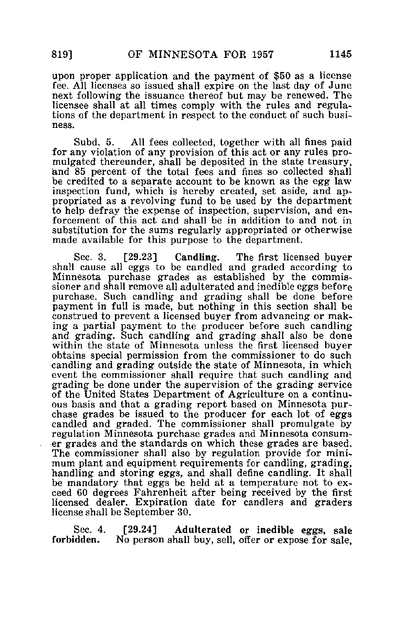upon proper application and the payment of \$50 as a license fee. All licenses so issued shall expire on the last day of June next following the issuance thereof but may be renewed. The licensee shall at all times comply with the rules and regulations of the department in respect to the conduct of such business.

Subd. 5. All fees collected, together with all fines paid for any violation of any provision of this act or any rules promulgated thereunder, shall be deposited in the state treasury, and 85 percent of the total fees and fines so collected shall be credited to a separate account to be known as the egg law inspection fund, which is hereby created, set aside, and appropriated as a revolving fund to be used by the department to help defray the expense of inspection, supervision, and enforcement of this act and shall be in addition to and not in substitution for the sums regularly appropriated or otherwise made available for this purpose to the department.

Sec. 3. [29.23] Candling. The first licensed buyer shall cause all eggs to be candled and graded according to Minnesota purchase grades as established by the commissioner and shall remove all adulterated and inedible eggs before purchase. Such candling and grading shall be done before payment in full is made, but nothing in this section shall be construed to prevent a licensed buyer from advancing or making a partial payment to the producer before such candling and grading. Such candling and grading shall also be done within the state of Minnesota unless the first licensed buyer obtains special permission from the commissioner to do such candling and grading outside the state of Minnesota, in which event the commissioner shall require that such candling and grading be done under the supervision of the grading service of the United States Department of Agriculture on a continuous basis and that a grading report based on Minnesota purchase grades be issued to the producer for each lot of eggs candled and graded. The commissioner shall promulgate by regulation Minnesota purchase grades and Minnesota consumer grades and the standards on which these grades are based. The commissioner shall also by regulation provide for minimum plant and equipment requirements for candling, grading, handling and storing eggs, and shall define candling. It shall be mandatory that eggs be held at a temperature not to exceed 60 degrees Fahrenheit after being received by the first licensed dealer. Expiration date for candlers and graders license shall be September 30.

Sec. 4. [29.24] Adulterated or inedible eggs, sale<br>forbidden. No person shall buy, sell, offer or expose for sale No person shall buy, sell, offer or expose for sale,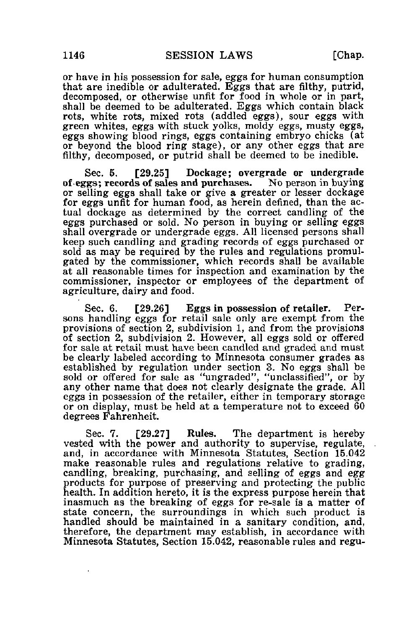or have in his possession for sale, eggs for human consumption that are inedible or adulterated. Eggs that are filthy, putrid, decomposed, or otherwise unfit for food in whole or in part, shall be deemed to be adulterated. Eggs which contain black rots, white rots, mixed rots (addled eggs), sour eggs with green whites, eggs with stuck yolks, moldy eggs, musty eggs, eggs showing blood rings, eggs containing embryo chicks (at or beyond the blood ring stage), or any other eggs that are filthy, decomposed, or putrid shall be deemed to be inedible.

Sec. 6. [29.25] Dockage; overgrade or undergrade of eggs; records of sales and purchases. No person in buying or selling eggs shall take or give a greater or lesser dockage for eggs unfit for human food, as herein defined, than the actual dockage as determined by the correct candling of the eggs purchased or sold. No person in buying or selling eggs shall overgrade or undergrade eggs. All licensed persons shall keep such candling and grading records of eggs purchased or sold as may be required by the rules and regulations promulgated by the commissioner, which records shall be available at all reasonable times for inspection and examination by the commissioner, inspector or employees of the department of agriculture, dairy and food.

Sec. 6. [29.26] Eggs in possession of retailer. Persons handling eggs for retail sale only are exempt from the provisions of section 2, subdivision 1, and from the provisions of section 2, subdivision 2. However, all eggs sold or offered for sale at retail must have been candled and graded and must be clearly labeled according to Minnesota consumer grades as established by regulation under section 3. No eggs shall be sold or offered for sale as "ungraded", "unclassified", or by any other name that does not clearly designate the grade. All eggs in possession of the retailer, either in temporary storage or on display, must be held at a temperature not to exceed 60 degrees Fahrenheit.

Sec. 7. [29.27] Rules. The department is hereby vested with the power and authority to supervise, regulate, and, in accordance with Minnesota Statutes, Section 15.042 make reasonable rules and regulations relative to grading, candling, breaking, purchasing, and selling of eggs and egg products for purpose of preserving and protecting the public health. In addition hereto, it is the express purpose herein that inasmuch as the breaking of eggs for re-sale is a matter of state concern, the surroundings in which such product is handled should be maintained in a sanitary condition, and, therefore, the department may establish, in accordance with Minnesota Statutes, Section 15.042, reasonable rules and regu